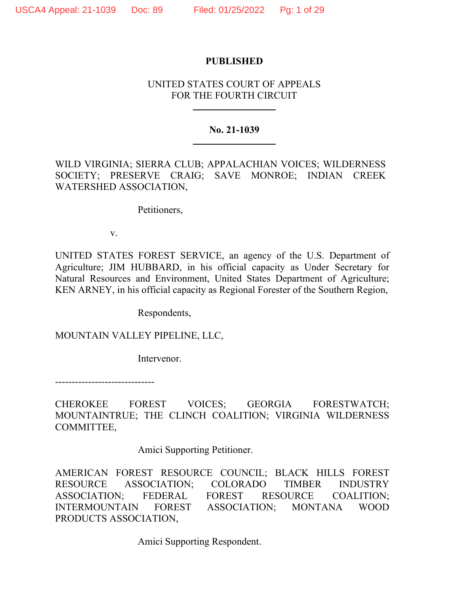# **PUBLISHED**

# UNITED STATES COURT OF APPEALS FOR THE FOURTH CIRCUIT

# **No. 21-1039**

WILD VIRGINIA; SIERRA CLUB; APPALACHIAN VOICES; WILDERNESS SOCIETY; PRESERVE CRAIG; SAVE MONROE; INDIAN CREEK WATERSHED ASSOCIATION,

Petitioners,

v.

UNITED STATES FOREST SERVICE, an agency of the U.S. Department of Agriculture; JIM HUBBARD, in his official capacity as Under Secretary for Natural Resources and Environment, United States Department of Agriculture; KEN ARNEY, in his official capacity as Regional Forester of the Southern Region,

Respondents,

MOUNTAIN VALLEY PIPELINE, LLC,

Intervenor.

------------------------------

CHEROKEE FOREST VOICES; GEORGIA FORESTWATCH; MOUNTAINTRUE; THE CLINCH COALITION; VIRGINIA WILDERNESS COMMITTEE,

Amici Supporting Petitioner.

AMERICAN FOREST RESOURCE COUNCIL; BLACK HILLS FOREST RESOURCE ASSOCIATION; COLORADO TIMBER INDUSTRY ASSOCIATION; FEDERAL FOREST RESOURCE COALITION; INTERMOUNTAIN FOREST ASSOCIATION; MONTANA WOOD PRODUCTS ASSOCIATION,

Amici Supporting Respondent.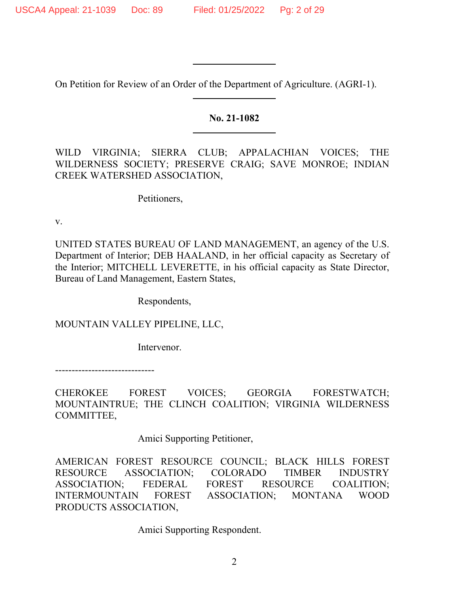On Petition for Review of an Order of the Department of Agriculture. (AGRI-1).

# **No. 21-1082**

WILD VIRGINIA; SIERRA CLUB; APPALACHIAN VOICES; THE WILDERNESS SOCIETY; PRESERVE CRAIG; SAVE MONROE; INDIAN CREEK WATERSHED ASSOCIATION,

Petitioners,

v.

UNITED STATES BUREAU OF LAND MANAGEMENT, an agency of the U.S. Department of Interior; DEB HAALAND, in her official capacity as Secretary of the Interior; MITCHELL LEVERETTE, in his official capacity as State Director, Bureau of Land Management, Eastern States,

Respondents,

MOUNTAIN VALLEY PIPELINE, LLC,

Intervenor.

------------------------------

CHEROKEE FOREST VOICES; GEORGIA FORESTWATCH; MOUNTAINTRUE; THE CLINCH COALITION; VIRGINIA WILDERNESS COMMITTEE,

Amici Supporting Petitioner,

AMERICAN FOREST RESOURCE COUNCIL; BLACK HILLS FOREST RESOURCE ASSOCIATION; COLORADO TIMBER INDUSTRY ASSOCIATION; FEDERAL FOREST RESOURCE COALITION; INTERMOUNTAIN FOREST ASSOCIATION; MONTANA WOOD PRODUCTS ASSOCIATION,

Amici Supporting Respondent.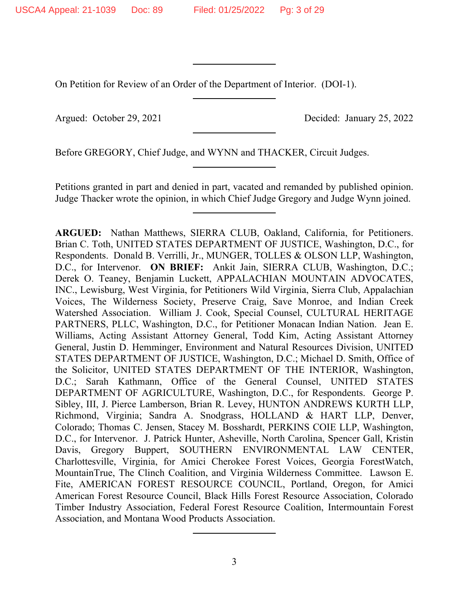On Petition for Review of an Order of the Department of Interior. (DOI-1).

Argued: October 29, 2021 Decided: January 25, 2022

Before GREGORY, Chief Judge, and WYNN and THACKER, Circuit Judges.

Petitions granted in part and denied in part, vacated and remanded by published opinion. Judge Thacker wrote the opinion, in which Chief Judge Gregory and Judge Wynn joined.

**ARGUED:** Nathan Matthews, SIERRA CLUB, Oakland, California, for Petitioners. Brian C. Toth, UNITED STATES DEPARTMENT OF JUSTICE, Washington, D.C., for Respondents. Donald B. Verrilli, Jr., MUNGER, TOLLES & OLSON LLP, Washington, D.C., for Intervenor. **ON BRIEF:** Ankit Jain, SIERRA CLUB, Washington, D.C.; Derek O. Teaney, Benjamin Luckett, APPALACHIAN MOUNTAIN ADVOCATES, INC., Lewisburg, West Virginia, for Petitioners Wild Virginia, Sierra Club, Appalachian Voices, The Wilderness Society, Preserve Craig, Save Monroe, and Indian Creek Watershed Association. William J. Cook, Special Counsel, CULTURAL HERITAGE PARTNERS, PLLC, Washington, D.C., for Petitioner Monacan Indian Nation. Jean E. Williams, Acting Assistant Attorney General, Todd Kim, Acting Assistant Attorney General, Justin D. Hemminger, Environment and Natural Resources Division, UNITED STATES DEPARTMENT OF JUSTICE, Washington, D.C.; Michael D. Smith, Office of the Solicitor, UNITED STATES DEPARTMENT OF THE INTERIOR, Washington, D.C.; Sarah Kathmann, Office of the General Counsel, UNITED STATES DEPARTMENT OF AGRICULTURE, Washington, D.C., for Respondents. George P. Sibley, III, J. Pierce Lamberson, Brian R. Levey, HUNTON ANDREWS KURTH LLP, Richmond, Virginia; Sandra A. Snodgrass, HOLLAND & HART LLP, Denver, Colorado; Thomas C. Jensen, Stacey M. Bosshardt, PERKINS COIE LLP, Washington, D.C., for Intervenor. J. Patrick Hunter, Asheville, North Carolina, Spencer Gall, Kristin Davis, Gregory Buppert, SOUTHERN ENVIRONMENTAL LAW CENTER, Charlottesville, Virginia, for Amici Cherokee Forest Voices, Georgia ForestWatch, MountainTrue, The Clinch Coalition, and Virginia Wilderness Committee. Lawson E. Fite, AMERICAN FOREST RESOURCE COUNCIL, Portland, Oregon, for Amici American Forest Resource Council, Black Hills Forest Resource Association, Colorado Timber Industry Association, Federal Forest Resource Coalition, Intermountain Forest Association, and Montana Wood Products Association.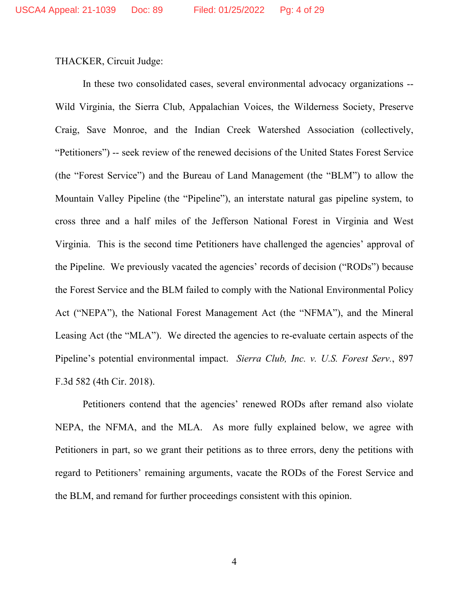THACKER, Circuit Judge:

In these two consolidated cases, several environmental advocacy organizations -- Wild Virginia, the Sierra Club, Appalachian Voices, the Wilderness Society, Preserve Craig, Save Monroe, and the Indian Creek Watershed Association (collectively, "Petitioners") -- seek review of the renewed decisions of the United States Forest Service (the "Forest Service") and the Bureau of Land Management (the "BLM") to allow the Mountain Valley Pipeline (the "Pipeline"), an interstate natural gas pipeline system, to cross three and a half miles of the Jefferson National Forest in Virginia and West Virginia. This is the second time Petitioners have challenged the agencies' approval of the Pipeline. We previously vacated the agencies' records of decision ("RODs") because the Forest Service and the BLM failed to comply with the National Environmental Policy Act ("NEPA"), the National Forest Management Act (the "NFMA"), and the Mineral Leasing Act (the "MLA"). We directed the agencies to re-evaluate certain aspects of the Pipeline's potential environmental impact. *Sierra Club, Inc. v. U.S. Forest Serv.*, 897 F.3d 582 (4th Cir. 2018).

Petitioners contend that the agencies' renewed RODs after remand also violate NEPA, the NFMA, and the MLA. As more fully explained below, we agree with Petitioners in part, so we grant their petitions as to three errors, deny the petitions with regard to Petitioners' remaining arguments, vacate the RODs of the Forest Service and the BLM, and remand for further proceedings consistent with this opinion.

4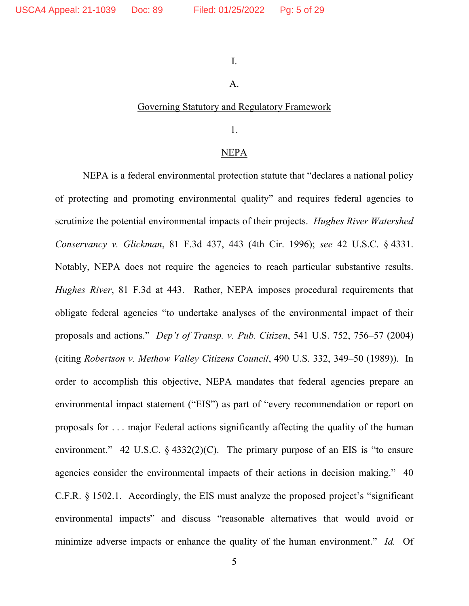I.

# A.

#### Governing Statutory and Regulatory Framework

1.

#### NEPA

NEPA is a federal environmental protection statute that "declares a national policy of protecting and promoting environmental quality" and requires federal agencies to scrutinize the potential environmental impacts of their projects. *Hughes River Watershed Conservancy v. Glickman*, 81 F.3d 437, 443 (4th Cir. 1996); *see* 42 U.S.C. § 4331. Notably, NEPA does not require the agencies to reach particular substantive results. *Hughes River*, 81 F.3d at 443. Rather, NEPA imposes procedural requirements that obligate federal agencies "to undertake analyses of the environmental impact of their proposals and actions." *Dep't of Transp. v. Pub. Citizen*, 541 U.S. 752, 756–57 (2004) (citing *Robertson v. Methow Valley Citizens Council*, 490 U.S. 332, 349–50 (1989)). In order to accomplish this objective, NEPA mandates that federal agencies prepare an environmental impact statement ("EIS") as part of "every recommendation or report on proposals for . . . major Federal actions significantly affecting the quality of the human environment." 42 U.S.C.  $\S$  4332(2)(C). The primary purpose of an EIS is "to ensure agencies consider the environmental impacts of their actions in decision making." 40 C.F.R. § 1502.1. Accordingly, the EIS must analyze the proposed project's "significant environmental impacts" and discuss "reasonable alternatives that would avoid or minimize adverse impacts or enhance the quality of the human environment." *Id.* Of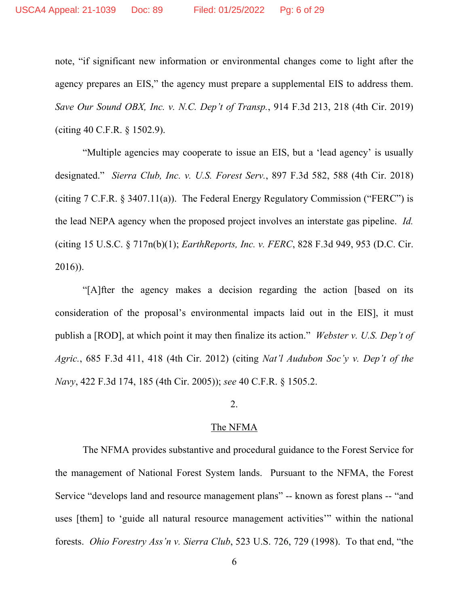note, "if significant new information or environmental changes come to light after the agency prepares an EIS," the agency must prepare a supplemental EIS to address them. *Save Our Sound OBX, Inc. v. N.C. Dep't of Transp.*, 914 F.3d 213, 218 (4th Cir. 2019) (citing 40 C.F.R. § 1502.9).

"Multiple agencies may cooperate to issue an EIS, but a 'lead agency' is usually designated." *Sierra Club, Inc. v. U.S. Forest Serv.*, 897 F.3d 582, 588 (4th Cir. 2018) (citing 7 C.F.R. § 3407.11(a)). The Federal Energy Regulatory Commission ("FERC") is the lead NEPA agency when the proposed project involves an interstate gas pipeline. *Id.* (citing 15 U.S.C. § 717n(b)(1); *EarthReports, Inc. v. FERC*, 828 F.3d 949, 953 (D.C. Cir. 2016)).

"[A]fter the agency makes a decision regarding the action [based on its consideration of the proposal's environmental impacts laid out in the EIS], it must publish a [ROD], at which point it may then finalize its action." *Webster v. U.S. Dep't of Agric.*, 685 F.3d 411, 418 (4th Cir. 2012) (citing *Nat'l Audubon Soc'y v. Dep't of the Navy*, 422 F.3d 174, 185 (4th Cir. 2005)); *see* 40 C.F.R. § 1505.2.

# 2.

#### The NFMA

The NFMA provides substantive and procedural guidance to the Forest Service for the management of National Forest System lands. Pursuant to the NFMA, the Forest Service "develops land and resource management plans" -- known as forest plans -- "and uses [them] to 'guide all natural resource management activities'" within the national forests. *Ohio Forestry Ass'n v. Sierra Club*, 523 U.S. 726, 729 (1998). To that end, "the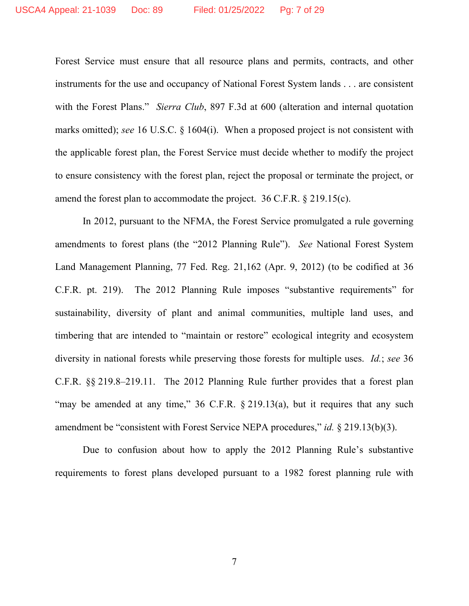Forest Service must ensure that all resource plans and permits, contracts, and other instruments for the use and occupancy of National Forest System lands . . . are consistent with the Forest Plans." *Sierra Club*, 897 F.3d at 600 (alteration and internal quotation marks omitted); *see* 16 U.S.C. § 1604(i). When a proposed project is not consistent with the applicable forest plan, the Forest Service must decide whether to modify the project to ensure consistency with the forest plan, reject the proposal or terminate the project, or amend the forest plan to accommodate the project. 36 C.F.R. § 219.15(c).

In 2012, pursuant to the NFMA, the Forest Service promulgated a rule governing amendments to forest plans (the "2012 Planning Rule"). *See* National Forest System Land Management Planning, 77 Fed. Reg. 21,162 (Apr. 9, 2012) (to be codified at 36 C.F.R. pt. 219). The 2012 Planning Rule imposes "substantive requirements" for sustainability, diversity of plant and animal communities, multiple land uses, and timbering that are intended to "maintain or restore" ecological integrity and ecosystem diversity in national forests while preserving those forests for multiple uses. *Id.*; *see* 36 C.F.R. §§ 219.8–219.11. The 2012 Planning Rule further provides that a forest plan "may be amended at any time," 36 C.F.R. § 219.13(a), but it requires that any such amendment be "consistent with Forest Service NEPA procedures," *id.* § 219.13(b)(3).

Due to confusion about how to apply the 2012 Planning Rule's substantive requirements to forest plans developed pursuant to a 1982 forest planning rule with

7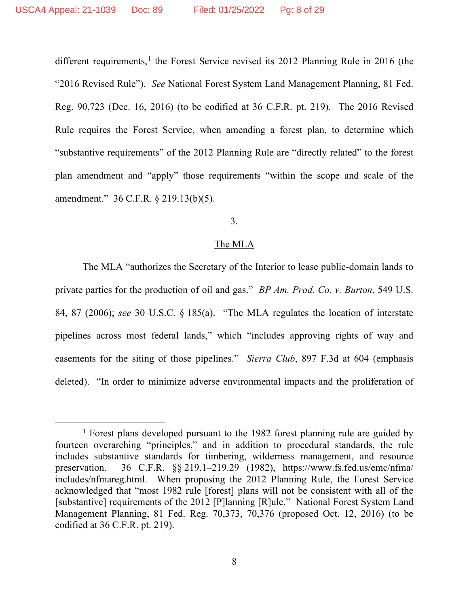different requirements,<sup>[1](#page-7-0)</sup> the Forest Service revised its 2012 Planning Rule in 2016 (the "2016 Revised Rule"). *See* National Forest System Land Management Planning, 81 Fed. Reg. 90,723 (Dec. 16, 2016) (to be codified at 36 C.F.R. pt. 219). The 2016 Revised Rule requires the Forest Service, when amending a forest plan, to determine which "substantive requirements" of the 2012 Planning Rule are "directly related" to the forest plan amendment and "apply" those requirements "within the scope and scale of the amendment." 36 C.F.R. § 219.13(b)(5).

# 3.

## The MLA

The MLA "authorizes the Secretary of the Interior to lease public-domain lands to private parties for the production of oil and gas." *BP Am. Prod. Co. v. Burton*, 549 U.S. 84, 87 (2006); *see* 30 U.S.C. § 185(a). "The MLA regulates the location of interstate pipelines across most federal lands," which "includes approving rights of way and easements for the siting of those pipelines." *Sierra Club*, 897 F.3d at 604 (emphasis deleted). "In order to minimize adverse environmental impacts and the proliferation of

<span id="page-7-0"></span><sup>&</sup>lt;sup>1</sup> Forest plans developed pursuant to the 1982 forest planning rule are guided by fourteen overarching "principles," and in addition to procedural standards, the rule includes substantive standards for timbering, wilderness management, and resource preservation. 36 C.F.R. §§ 219.1–219.29 (1982), https://www.fs.fed.us/emc/nfma/ includes/nfmareg.html. When proposing the 2012 Planning Rule, the Forest Service acknowledged that "most 1982 rule [forest] plans will not be consistent with all of the [substantive] requirements of the 2012 [P]lanning [R]ule." National Forest System Land Management Planning, 81 Fed. Reg. 70,373, 70,376 (proposed Oct. 12, 2016) (to be codified at 36 C.F.R. pt. 219).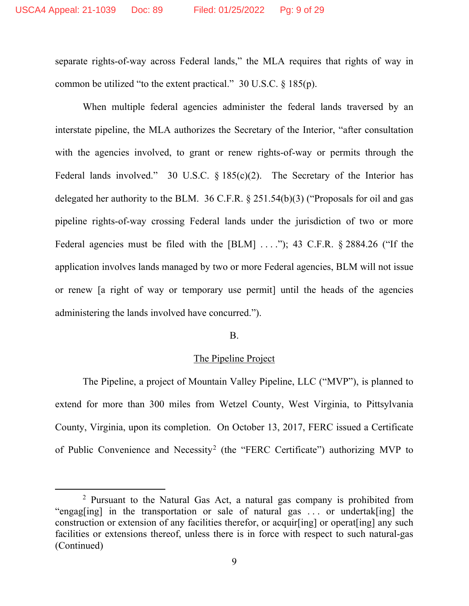separate rights-of-way across Federal lands," the MLA requires that rights of way in common be utilized "to the extent practical." 30 U.S.C. § 185(p).

When multiple federal agencies administer the federal lands traversed by an interstate pipeline, the MLA authorizes the Secretary of the Interior, "after consultation with the agencies involved, to grant or renew rights-of-way or permits through the Federal lands involved." 30 U.S.C.  $\S 185(c)(2)$ . The Secretary of the Interior has delegated her authority to the BLM. 36 C.F.R. § 251.54(b)(3) ("Proposals for oil and gas pipeline rights-of-way crossing Federal lands under the jurisdiction of two or more Federal agencies must be filed with the  $[BLM]$  ...."); 43 C.F.R.  $\S$  2884.26 ("If the application involves lands managed by two or more Federal agencies, BLM will not issue or renew [a right of way or temporary use permit] until the heads of the agencies administering the lands involved have concurred.").

### B.

# The Pipeline Project

The Pipeline, a project of Mountain Valley Pipeline, LLC ("MVP"), is planned to extend for more than 300 miles from Wetzel County, West Virginia, to Pittsylvania County, Virginia, upon its completion. On October 13, 2017, FERC issued a Certificate of Public Convenience and Necessity<sup>[2](#page-8-0)</sup> (the "FERC Certificate") authorizing MVP to

<span id="page-8-0"></span><sup>2</sup> Pursuant to the Natural Gas Act, a natural gas company is prohibited from "engag[ing] in the transportation or sale of natural gas . . . or undertak[ing] the construction or extension of any facilities therefor, or acquir[ing] or operat[ing] any such facilities or extensions thereof, unless there is in force with respect to such natural-gas (Continued)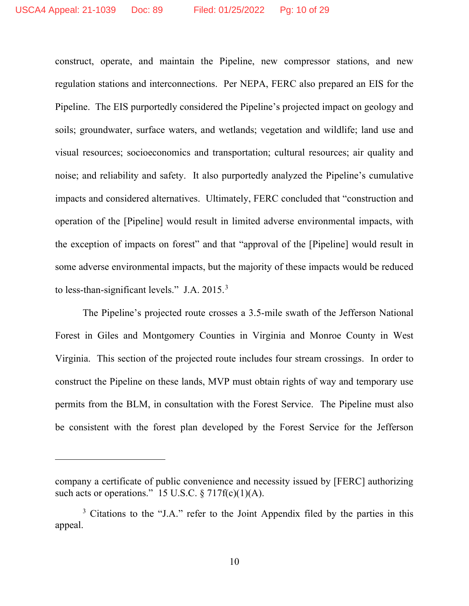construct, operate, and maintain the Pipeline, new compressor stations, and new regulation stations and interconnections. Per NEPA, FERC also prepared an EIS for the Pipeline. The EIS purportedly considered the Pipeline's projected impact on geology and soils; groundwater, surface waters, and wetlands; vegetation and wildlife; land use and visual resources; socioeconomics and transportation; cultural resources; air quality and noise; and reliability and safety. It also purportedly analyzed the Pipeline's cumulative impacts and considered alternatives. Ultimately, FERC concluded that "construction and operation of the [Pipeline] would result in limited adverse environmental impacts, with the exception of impacts on forest" and that "approval of the [Pipeline] would result in some adverse environmental impacts, but the majority of these impacts would be reduced to less-than-significant levels." J.A. 2015.<sup>[3](#page-9-0)</sup>

The Pipeline's projected route crosses a 3.5-mile swath of the Jefferson National Forest in Giles and Montgomery Counties in Virginia and Monroe County in West Virginia. This section of the projected route includes four stream crossings. In order to construct the Pipeline on these lands, MVP must obtain rights of way and temporary use permits from the BLM, in consultation with the Forest Service. The Pipeline must also be consistent with the forest plan developed by the Forest Service for the Jefferson

company a certificate of public convenience and necessity issued by [FERC] authorizing such acts or operations." 15 U.S.C.  $\S 717f(c)(1)(A)$ .

<span id="page-9-0"></span><sup>&</sup>lt;sup>3</sup> Citations to the "J.A." refer to the Joint Appendix filed by the parties in this appeal.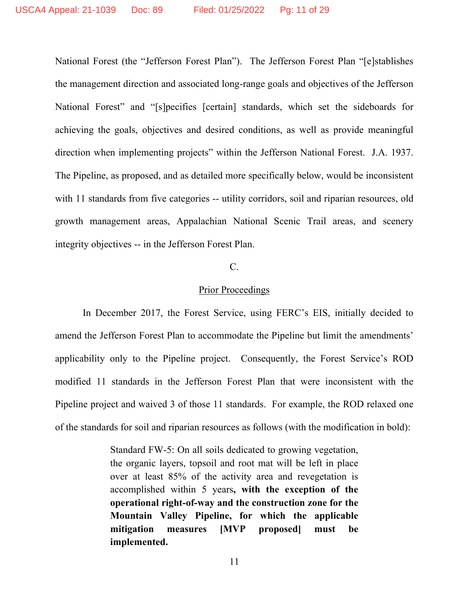National Forest (the "Jefferson Forest Plan"). The Jefferson Forest Plan "[e]stablishes the management direction and associated long-range goals and objectives of the Jefferson National Forest" and "[s]pecifies [certain] standards, which set the sideboards for achieving the goals, objectives and desired conditions, as well as provide meaningful direction when implementing projects" within the Jefferson National Forest. J.A. 1937. The Pipeline, as proposed, and as detailed more specifically below, would be inconsistent with 11 standards from five categories -- utility corridors, soil and riparian resources, old growth management areas, Appalachian National Scenic Trail areas, and scenery integrity objectives -- in the Jefferson Forest Plan.

# C.

## Prior Proceedings

In December 2017, the Forest Service, using FERC's EIS, initially decided to amend the Jefferson Forest Plan to accommodate the Pipeline but limit the amendments' applicability only to the Pipeline project. Consequently, the Forest Service's ROD modified 11 standards in the Jefferson Forest Plan that were inconsistent with the Pipeline project and waived 3 of those 11 standards. For example, the ROD relaxed one of the standards for soil and riparian resources as follows (with the modification in bold):

> Standard FW-5: On all soils dedicated to growing vegetation, the organic layers, topsoil and root mat will be left in place over at least 85% of the activity area and revegetation is accomplished within 5 years**, with the exception of the operational right-of-way and the construction zone for the Mountain Valley Pipeline, for which the applicable mitigation measures [MVP proposed] must be implemented.**

> > 11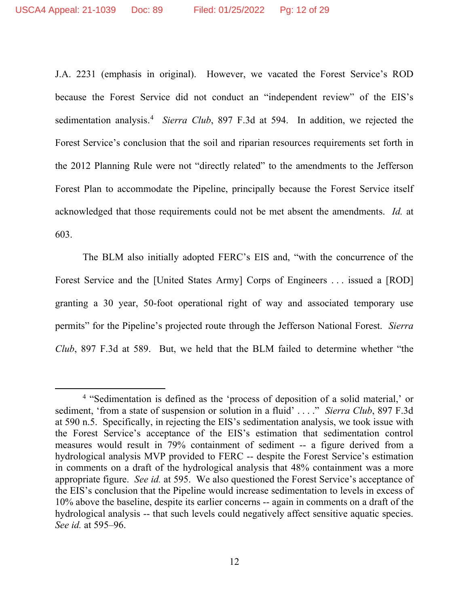J.A. 2231 (emphasis in original). However, we vacated the Forest Service's ROD because the Forest Service did not conduct an "independent review" of the EIS's sedimentation analysis. [4](#page-11-0) *Sierra Club*, 897 F.3d at 594. In addition, we rejected the Forest Service's conclusion that the soil and riparian resources requirements set forth in the 2012 Planning Rule were not "directly related" to the amendments to the Jefferson Forest Plan to accommodate the Pipeline, principally because the Forest Service itself acknowledged that those requirements could not be met absent the amendments. *Id.* at 603.

The BLM also initially adopted FERC's EIS and, "with the concurrence of the Forest Service and the [United States Army] Corps of Engineers . . . issued a [ROD] granting a 30 year, 50-foot operational right of way and associated temporary use permits" for the Pipeline's projected route through the Jefferson National Forest. *Sierra Club*, 897 F.3d at 589. But, we held that the BLM failed to determine whether "the

<span id="page-11-0"></span><sup>4</sup> "Sedimentation is defined as the 'process of deposition of a solid material,' or sediment, 'from a state of suspension or solution in a fluid' . . . ." *Sierra Club*, 897 F.3d at 590 n.5. Specifically, in rejecting the EIS's sedimentation analysis, we took issue with the Forest Service's acceptance of the EIS's estimation that sedimentation control measures would result in 79% containment of sediment -- a figure derived from a hydrological analysis MVP provided to FERC -- despite the Forest Service's estimation in comments on a draft of the hydrological analysis that 48% containment was a more appropriate figure. *See id.* at 595. We also questioned the Forest Service's acceptance of the EIS's conclusion that the Pipeline would increase sedimentation to levels in excess of 10% above the baseline, despite its earlier concerns -- again in comments on a draft of the hydrological analysis -- that such levels could negatively affect sensitive aquatic species. *See id.* at 595–96.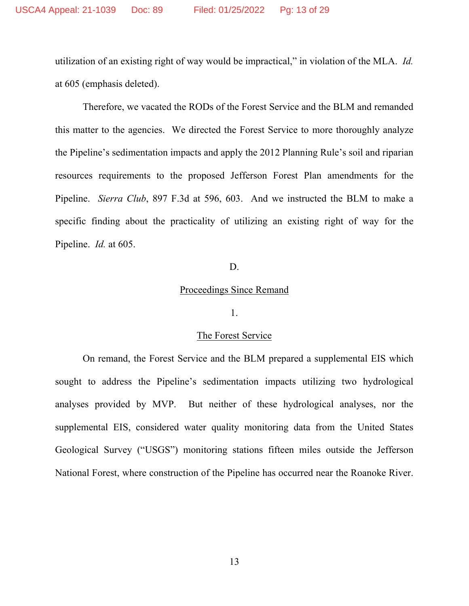utilization of an existing right of way would be impractical," in violation of the MLA. *Id.* at 605 (emphasis deleted).

Therefore, we vacated the RODs of the Forest Service and the BLM and remanded this matter to the agencies. We directed the Forest Service to more thoroughly analyze the Pipeline's sedimentation impacts and apply the 2012 Planning Rule's soil and riparian resources requirements to the proposed Jefferson Forest Plan amendments for the Pipeline. *Sierra Club*, 897 F.3d at 596, 603. And we instructed the BLM to make a specific finding about the practicality of utilizing an existing right of way for the Pipeline. *Id.* at 605.

#### D.

# Proceedings Since Remand

#### 1.

### The Forest Service

On remand, the Forest Service and the BLM prepared a supplemental EIS which sought to address the Pipeline's sedimentation impacts utilizing two hydrological analyses provided by MVP. But neither of these hydrological analyses, nor the supplemental EIS, considered water quality monitoring data from the United States Geological Survey ("USGS") monitoring stations fifteen miles outside the Jefferson National Forest, where construction of the Pipeline has occurred near the Roanoke River.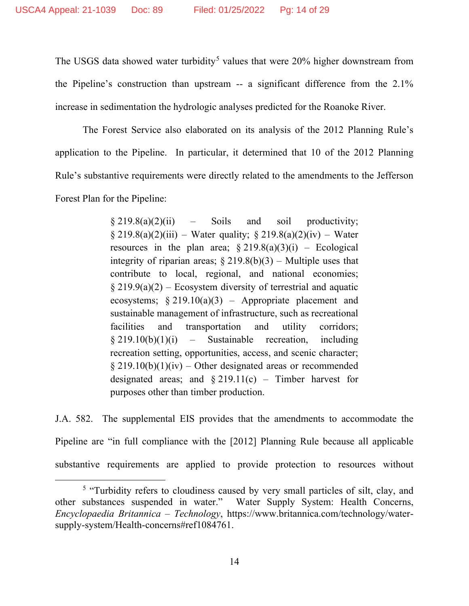The USGS data showed water turbidity<sup>[5](#page-13-0)</sup> values that were  $20\%$  higher downstream from the Pipeline's construction than upstream -- a significant difference from the 2.1% increase in sedimentation the hydrologic analyses predicted for the Roanoke River.

The Forest Service also elaborated on its analysis of the 2012 Planning Rule's application to the Pipeline. In particular, it determined that 10 of the 2012 Planning Rule's substantive requirements were directly related to the amendments to the Jefferson Forest Plan for the Pipeline:

> $§ 219.8(a)(2)(ii)$  – Soils and soil productivity;  $§ 219.8(a)(2)(iii) - Water quality; § 219.8(a)(2)(iv) - Water$ resources in the plan area;  $\S 219.8(a)(3)(i)$  – Ecological integrity of riparian areas;  $\S 219.8(b)(3)$  – Multiple uses that contribute to local, regional, and national economies;  $§$  219.9(a)(2) – Ecosystem diversity of terrestrial and aquatic ecosystems;  $§ 219.10(a)(3)$  – Appropriate placement and sustainable management of infrastructure, such as recreational facilities and transportation and utility corridors;  $§ 219.10(b)(1)(i)$  – Sustainable recreation, including recreation setting, opportunities, access, and scenic character;  $§$  219.10(b)(1)(iv) – Other designated areas or recommended designated areas; and  $\S 219.11(c)$  – Timber harvest for purposes other than timber production.

J.A. 582. The supplemental EIS provides that the amendments to accommodate the Pipeline are "in full compliance with the [2012] Planning Rule because all applicable substantive requirements are applied to provide protection to resources without

<span id="page-13-0"></span><sup>&</sup>lt;sup>5</sup> "Turbidity refers to cloudiness caused by very small particles of silt, clay, and other substances suspended in water." Water Supply System: Health Concerns, *Encyclopaedia Britannica – Technology*, https://www.britannica.com/technology/watersupply-system/Health-concerns#ref1084761.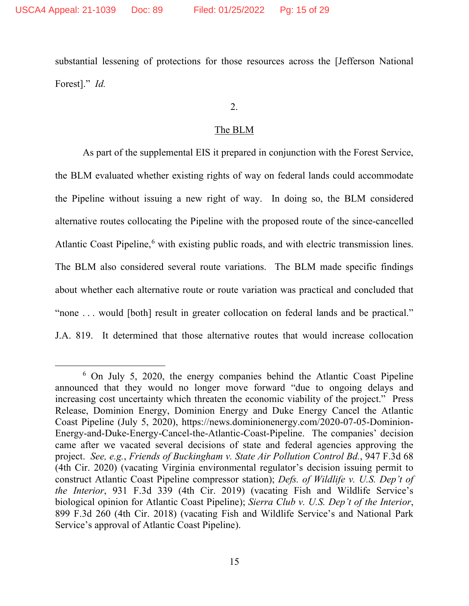substantial lessening of protections for those resources across the [Jefferson National Forest]." *Id.*

2.

### The BLM

As part of the supplemental EIS it prepared in conjunction with the Forest Service, the BLM evaluated whether existing rights of way on federal lands could accommodate the Pipeline without issuing a new right of way. In doing so, the BLM considered alternative routes collocating the Pipeline with the proposed route of the since-cancelled Atlantic Coast Pipeline, $6$  with existing public roads, and with electric transmission lines. The BLM also considered several route variations. The BLM made specific findings about whether each alternative route or route variation was practical and concluded that "none . . . would [both] result in greater collocation on federal lands and be practical." J.A. 819. It determined that those alternative routes that would increase collocation

<span id="page-14-0"></span><sup>6</sup> On July 5, 2020, the energy companies behind the Atlantic Coast Pipeline announced that they would no longer move forward "due to ongoing delays and increasing cost uncertainty which threaten the economic viability of the project." Press Release, Dominion Energy, Dominion Energy and Duke Energy Cancel the Atlantic Coast Pipeline (July 5, 2020), https://news.dominionenergy.com/2020-07-05-Dominion-Energy-and-Duke-Energy-Cancel-the-Atlantic-Coast-Pipeline. The companies' decision came after we vacated several decisions of state and federal agencies approving the project. *See, e.g.*, *Friends of Buckingham v. State Air Pollution Control Bd.*, 947 F.3d 68 (4th Cir. 2020) (vacating Virginia environmental regulator's decision issuing permit to construct Atlantic Coast Pipeline compressor station); *Defs. of Wildlife v. U.S. Dep't of the Interior*, 931 F.3d 339 (4th Cir. 2019) (vacating Fish and Wildlife Service's biological opinion for Atlantic Coast Pipeline); *Sierra Club v. U.S. Dep't of the Interior*, 899 F.3d 260 (4th Cir. 2018) (vacating Fish and Wildlife Service's and National Park Service's approval of Atlantic Coast Pipeline).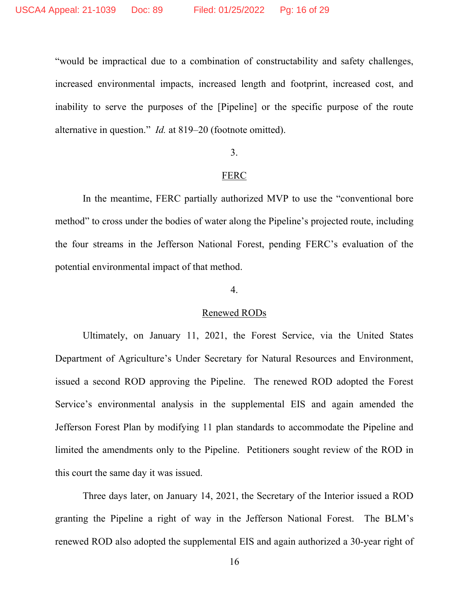"would be impractical due to a combination of constructability and safety challenges, increased environmental impacts, increased length and footprint, increased cost, and inability to serve the purposes of the [Pipeline] or the specific purpose of the route alternative in question." *Id.* at 819–20 (footnote omitted).

## 3.

#### FERC

In the meantime, FERC partially authorized MVP to use the "conventional bore method" to cross under the bodies of water along the Pipeline's projected route, including the four streams in the Jefferson National Forest, pending FERC's evaluation of the potential environmental impact of that method.

# 4.

#### Renewed RODs

Ultimately, on January 11, 2021, the Forest Service, via the United States Department of Agriculture's Under Secretary for Natural Resources and Environment, issued a second ROD approving the Pipeline. The renewed ROD adopted the Forest Service's environmental analysis in the supplemental EIS and again amended the Jefferson Forest Plan by modifying 11 plan standards to accommodate the Pipeline and limited the amendments only to the Pipeline. Petitioners sought review of the ROD in this court the same day it was issued.

Three days later, on January 14, 2021, the Secretary of the Interior issued a ROD granting the Pipeline a right of way in the Jefferson National Forest. The BLM's renewed ROD also adopted the supplemental EIS and again authorized a 30-year right of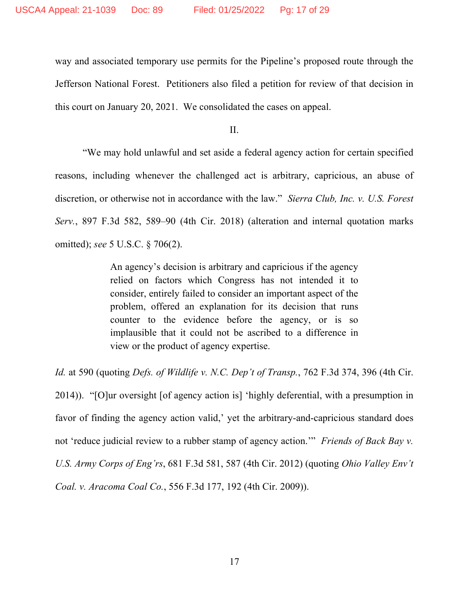way and associated temporary use permits for the Pipeline's proposed route through the Jefferson National Forest. Petitioners also filed a petition for review of that decision in this court on January 20, 2021. We consolidated the cases on appeal.

II.

"We may hold unlawful and set aside a federal agency action for certain specified reasons, including whenever the challenged act is arbitrary, capricious, an abuse of discretion, or otherwise not in accordance with the law." *Sierra Club, Inc. v. U.S. Forest Serv.*, 897 F.3d 582, 589–90 (4th Cir. 2018) (alteration and internal quotation marks omitted); *see* 5 U.S.C. § 706(2).

> An agency's decision is arbitrary and capricious if the agency relied on factors which Congress has not intended it to consider, entirely failed to consider an important aspect of the problem, offered an explanation for its decision that runs counter to the evidence before the agency, or is so implausible that it could not be ascribed to a difference in view or the product of agency expertise.

*Id.* at 590 (quoting *Defs. of Wildlife v. N.C. Dep't of Transp.*, 762 F.3d 374, 396 (4th Cir. 2014)). "[O]ur oversight [of agency action is] 'highly deferential, with a presumption in favor of finding the agency action valid,' yet the arbitrary-and-capricious standard does not 'reduce judicial review to a rubber stamp of agency action.'" *Friends of Back Bay v. U.S. Army Corps of Eng'rs*, 681 F.3d 581, 587 (4th Cir. 2012) (quoting *Ohio Valley Env't Coal. v. Aracoma Coal Co.*, 556 F.3d 177, 192 (4th Cir. 2009)).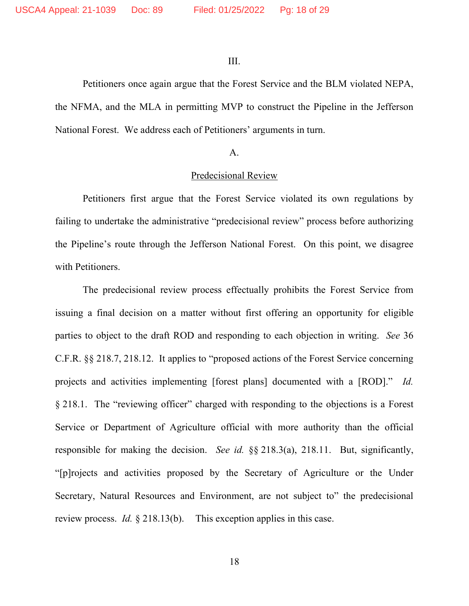III.

Petitioners once again argue that the Forest Service and the BLM violated NEPA, the NFMA, and the MLA in permitting MVP to construct the Pipeline in the Jefferson National Forest. We address each of Petitioners' arguments in turn.

#### A.

#### Predecisional Review

Petitioners first argue that the Forest Service violated its own regulations by failing to undertake the administrative "predecisional review" process before authorizing the Pipeline's route through the Jefferson National Forest. On this point, we disagree with Petitioners.

The predecisional review process effectually prohibits the Forest Service from issuing a final decision on a matter without first offering an opportunity for eligible parties to object to the draft ROD and responding to each objection in writing. *See* 36 C.F.R. §§ 218.7, 218.12. It applies to "proposed actions of the Forest Service concerning projects and activities implementing [forest plans] documented with a [ROD]." *Id.* § 218.1. The "reviewing officer" charged with responding to the objections is a Forest Service or Department of Agriculture official with more authority than the official responsible for making the decision. *See id.* §§ 218.3(a), 218.11. But, significantly, "[p]rojects and activities proposed by the Secretary of Agriculture or the Under Secretary, Natural Resources and Environment, are not subject to" the predecisional review process. *Id.* § 218.13(b). This exception applies in this case.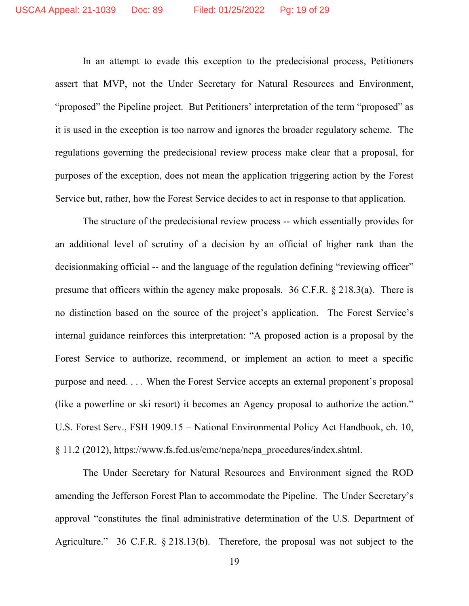In an attempt to evade this exception to the predecisional process, Petitioners assert that MVP, not the Under Secretary for Natural Resources and Environment, "proposed" the Pipeline project. But Petitioners' interpretation of the term "proposed" as it is used in the exception is too narrow and ignores the broader regulatory scheme. The regulations governing the predecisional review process make clear that a proposal, for purposes of the exception, does not mean the application triggering action by the Forest Service but, rather, how the Forest Service decides to act in response to that application.

The structure of the predecisional review process -- which essentially provides for an additional level of scrutiny of a decision by an official of higher rank than the decisionmaking official -- and the language of the regulation defining "reviewing officer" presume that officers within the agency make proposals. 36 C.F.R. § 218.3(a). There is no distinction based on the source of the project's application. The Forest Service's internal guidance reinforces this interpretation: "A proposed action is a proposal by the Forest Service to authorize, recommend, or implement an action to meet a specific purpose and need. . . . When the Forest Service accepts an external proponent's proposal (like a powerline or ski resort) it becomes an Agency proposal to authorize the action." U.S. Forest Serv., FSH 1909.15 – National Environmental Policy Act Handbook, ch. 10, § 11.2 (2012), https://www.fs.fed.us/emc/nepa/nepa\_procedures/index.shtml.

The Under Secretary for Natural Resources and Environment signed the ROD amending the Jefferson Forest Plan to accommodate the Pipeline. The Under Secretary's approval "constitutes the final administrative determination of the U.S. Department of Agriculture." 36 C.F.R. § 218.13(b). Therefore, the proposal was not subject to the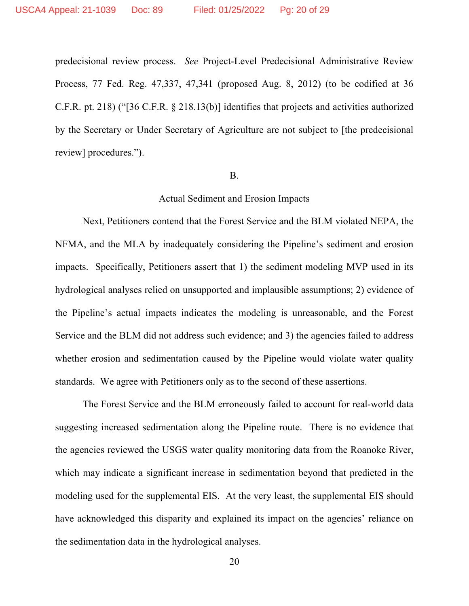predecisional review process. *See* Project-Level Predecisional Administrative Review Process, 77 Fed. Reg. 47,337, 47,341 (proposed Aug. 8, 2012) (to be codified at 36 C.F.R. pt. 218) ("[36 C.F.R. § 218.13(b)] identifies that projects and activities authorized by the Secretary or Under Secretary of Agriculture are not subject to [the predecisional review] procedures.").

#### B.

#### Actual Sediment and Erosion Impacts

Next, Petitioners contend that the Forest Service and the BLM violated NEPA, the NFMA, and the MLA by inadequately considering the Pipeline's sediment and erosion impacts. Specifically, Petitioners assert that 1) the sediment modeling MVP used in its hydrological analyses relied on unsupported and implausible assumptions; 2) evidence of the Pipeline's actual impacts indicates the modeling is unreasonable, and the Forest Service and the BLM did not address such evidence; and 3) the agencies failed to address whether erosion and sedimentation caused by the Pipeline would violate water quality standards. We agree with Petitioners only as to the second of these assertions.

The Forest Service and the BLM erroneously failed to account for real-world data suggesting increased sedimentation along the Pipeline route. There is no evidence that the agencies reviewed the USGS water quality monitoring data from the Roanoke River, which may indicate a significant increase in sedimentation beyond that predicted in the modeling used for the supplemental EIS. At the very least, the supplemental EIS should have acknowledged this disparity and explained its impact on the agencies' reliance on the sedimentation data in the hydrological analyses.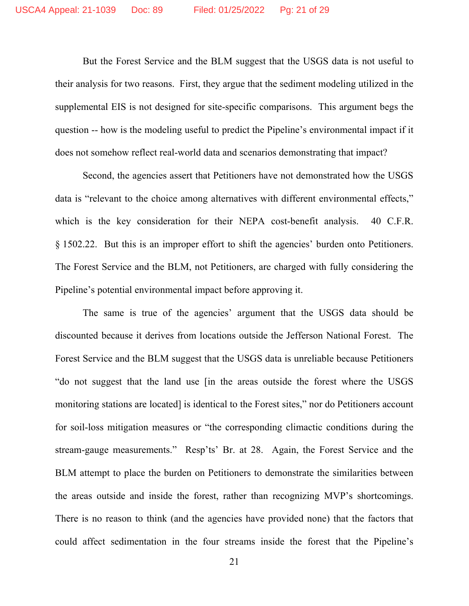But the Forest Service and the BLM suggest that the USGS data is not useful to their analysis for two reasons. First, they argue that the sediment modeling utilized in the supplemental EIS is not designed for site-specific comparisons. This argument begs the question -- how is the modeling useful to predict the Pipeline's environmental impact if it does not somehow reflect real-world data and scenarios demonstrating that impact?

Second, the agencies assert that Petitioners have not demonstrated how the USGS data is "relevant to the choice among alternatives with different environmental effects," which is the key consideration for their NEPA cost-benefit analysis. 40 C.F.R. § 1502.22. But this is an improper effort to shift the agencies' burden onto Petitioners. The Forest Service and the BLM, not Petitioners, are charged with fully considering the Pipeline's potential environmental impact before approving it.

The same is true of the agencies' argument that the USGS data should be discounted because it derives from locations outside the Jefferson National Forest. The Forest Service and the BLM suggest that the USGS data is unreliable because Petitioners "do not suggest that the land use [in the areas outside the forest where the USGS monitoring stations are located] is identical to the Forest sites," nor do Petitioners account for soil-loss mitigation measures or "the corresponding climactic conditions during the stream-gauge measurements." Resp'ts' Br. at 28. Again, the Forest Service and the BLM attempt to place the burden on Petitioners to demonstrate the similarities between the areas outside and inside the forest, rather than recognizing MVP's shortcomings. There is no reason to think (and the agencies have provided none) that the factors that could affect sedimentation in the four streams inside the forest that the Pipeline's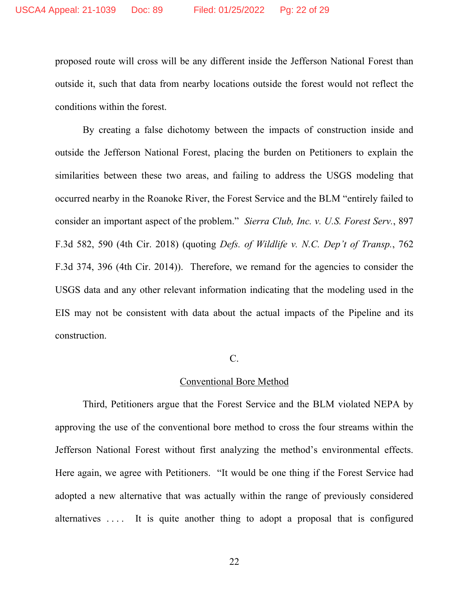proposed route will cross will be any different inside the Jefferson National Forest than outside it, such that data from nearby locations outside the forest would not reflect the conditions within the forest.

By creating a false dichotomy between the impacts of construction inside and outside the Jefferson National Forest, placing the burden on Petitioners to explain the similarities between these two areas, and failing to address the USGS modeling that occurred nearby in the Roanoke River, the Forest Service and the BLM "entirely failed to consider an important aspect of the problem." *Sierra Club, Inc. v. U.S. Forest Serv.*, 897 F.3d 582, 590 (4th Cir. 2018) (quoting *Defs. of Wildlife v. N.C. Dep't of Transp.*, 762 F.3d 374, 396 (4th Cir. 2014)). Therefore, we remand for the agencies to consider the USGS data and any other relevant information indicating that the modeling used in the EIS may not be consistent with data about the actual impacts of the Pipeline and its construction.

#### C.

# Conventional Bore Method

Third, Petitioners argue that the Forest Service and the BLM violated NEPA by approving the use of the conventional bore method to cross the four streams within the Jefferson National Forest without first analyzing the method's environmental effects. Here again, we agree with Petitioners. "It would be one thing if the Forest Service had adopted a new alternative that was actually within the range of previously considered alternatives  $\dots$  It is quite another thing to adopt a proposal that is configured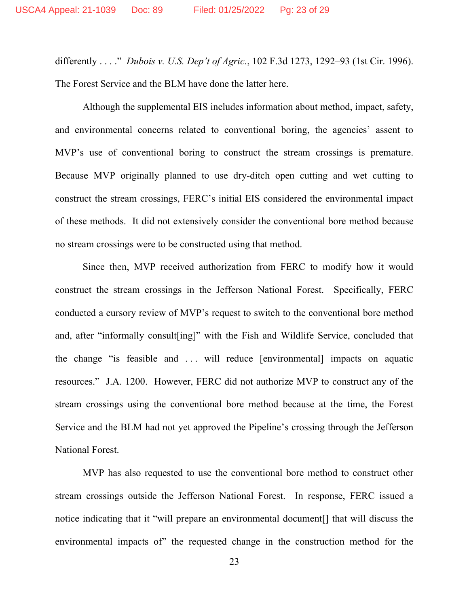differently . . . ." *Dubois v. U.S. Dep't of Agric.*, 102 F.3d 1273, 1292–93 (1st Cir. 1996). The Forest Service and the BLM have done the latter here.

Although the supplemental EIS includes information about method, impact, safety, and environmental concerns related to conventional boring, the agencies' assent to MVP's use of conventional boring to construct the stream crossings is premature. Because MVP originally planned to use dry-ditch open cutting and wet cutting to construct the stream crossings, FERC's initial EIS considered the environmental impact of these methods. It did not extensively consider the conventional bore method because no stream crossings were to be constructed using that method.

Since then, MVP received authorization from FERC to modify how it would construct the stream crossings in the Jefferson National Forest. Specifically, FERC conducted a cursory review of MVP's request to switch to the conventional bore method and, after "informally consult[ing]" with the Fish and Wildlife Service, concluded that the change "is feasible and . . . will reduce [environmental] impacts on aquatic resources." J.A. 1200. However, FERC did not authorize MVP to construct any of the stream crossings using the conventional bore method because at the time, the Forest Service and the BLM had not yet approved the Pipeline's crossing through the Jefferson National Forest.

MVP has also requested to use the conventional bore method to construct other stream crossings outside the Jefferson National Forest. In response, FERC issued a notice indicating that it "will prepare an environmental document[] that will discuss the environmental impacts of" the requested change in the construction method for the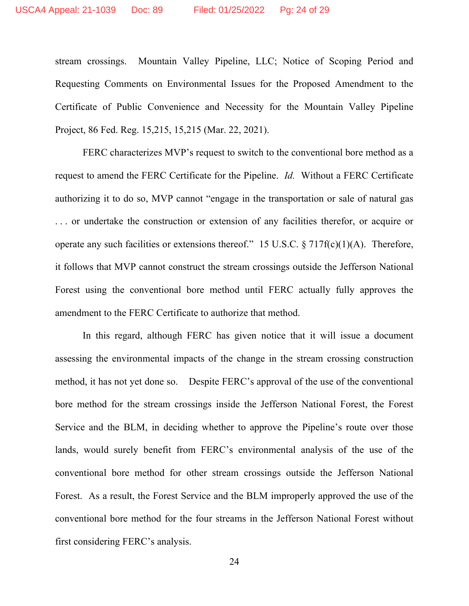stream crossings. Mountain Valley Pipeline, LLC; Notice of Scoping Period and Requesting Comments on Environmental Issues for the Proposed Amendment to the Certificate of Public Convenience and Necessity for the Mountain Valley Pipeline Project, 86 Fed. Reg. 15,215, 15,215 (Mar. 22, 2021).

FERC characterizes MVP's request to switch to the conventional bore method as a request to amend the FERC Certificate for the Pipeline. *Id.* Without a FERC Certificate authorizing it to do so, MVP cannot "engage in the transportation or sale of natural gas . . . or undertake the construction or extension of any facilities therefor, or acquire or operate any such facilities or extensions thereof." 15 U.S.C.  $\S 717f(c)(1)(A)$ . Therefore, it follows that MVP cannot construct the stream crossings outside the Jefferson National Forest using the conventional bore method until FERC actually fully approves the amendment to the FERC Certificate to authorize that method.

In this regard, although FERC has given notice that it will issue a document assessing the environmental impacts of the change in the stream crossing construction method, it has not yet done so. Despite FERC's approval of the use of the conventional bore method for the stream crossings inside the Jefferson National Forest, the Forest Service and the BLM, in deciding whether to approve the Pipeline's route over those lands, would surely benefit from FERC's environmental analysis of the use of the conventional bore method for other stream crossings outside the Jefferson National Forest. As a result, the Forest Service and the BLM improperly approved the use of the conventional bore method for the four streams in the Jefferson National Forest without first considering FERC's analysis.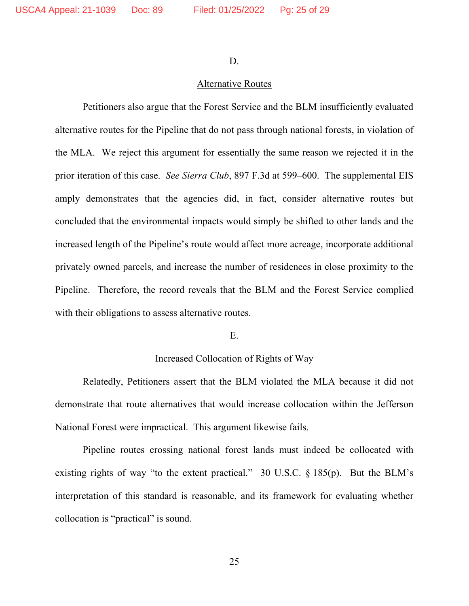D.

# Alternative Routes

Petitioners also argue that the Forest Service and the BLM insufficiently evaluated alternative routes for the Pipeline that do not pass through national forests, in violation of the MLA. We reject this argument for essentially the same reason we rejected it in the prior iteration of this case. *See Sierra Club*, 897 F.3d at 599–600. The supplemental EIS amply demonstrates that the agencies did, in fact, consider alternative routes but concluded that the environmental impacts would simply be shifted to other lands and the increased length of the Pipeline's route would affect more acreage, incorporate additional privately owned parcels, and increase the number of residences in close proximity to the Pipeline. Therefore, the record reveals that the BLM and the Forest Service complied with their obligations to assess alternative routes.

### E.

#### Increased Collocation of Rights of Way

Relatedly, Petitioners assert that the BLM violated the MLA because it did not demonstrate that route alternatives that would increase collocation within the Jefferson National Forest were impractical. This argument likewise fails.

Pipeline routes crossing national forest lands must indeed be collocated with existing rights of way "to the extent practical." 30 U.S.C. § 185(p). But the BLM's interpretation of this standard is reasonable, and its framework for evaluating whether collocation is "practical" is sound.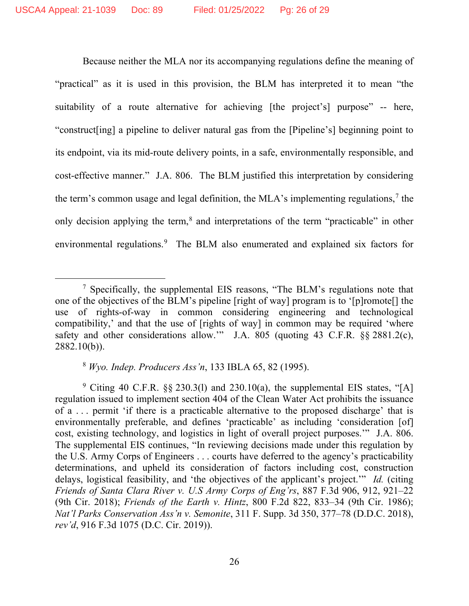Because neither the MLA nor its accompanying regulations define the meaning of "practical" as it is used in this provision, the BLM has interpreted it to mean "the suitability of a route alternative for achieving [the project's] purpose" -- here, "construct[ing] a pipeline to deliver natural gas from the [Pipeline's] beginning point to its endpoint, via its mid-route delivery points, in a safe, environmentally responsible, and cost-effective manner." J.A. 806. The BLM justified this interpretation by considering the term's common usage and legal definition, the MLA's implementing regulations,<sup>[7](#page-25-0)</sup> the only decision applying the term,<sup>[8](#page-25-1)</sup> and interpretations of the term "practicable" in other environmental regulations.<sup>[9](#page-25-2)</sup> The BLM also enumerated and explained six factors for

<sup>8</sup> *Wyo. Indep. Producers Ass'n*, 133 IBLA 65, 82 (1995).

<span id="page-25-2"></span><span id="page-25-1"></span><sup>9</sup> Citing 40 C.F.R.  $\&$  230.3(1) and 230.10(a), the supplemental EIS states, "[A] regulation issued to implement section 404 of the Clean Water Act prohibits the issuance of a . . . permit 'if there is a practicable alternative to the proposed discharge' that is environmentally preferable, and defines 'practicable' as including 'consideration [of] cost, existing technology, and logistics in light of overall project purposes.'" J.A. 806. The supplemental EIS continues, "In reviewing decisions made under this regulation by the U.S. Army Corps of Engineers . . . courts have deferred to the agency's practicability determinations, and upheld its consideration of factors including cost, construction delays, logistical feasibility, and 'the objectives of the applicant's project.'" *Id.* (citing *Friends of Santa Clara River v. U.S Army Corps of Eng'rs*, 887 F.3d 906, 912, 921–22 (9th Cir. 2018); *Friends of the Earth v. Hintz*, 800 F.2d 822, 833–34 (9th Cir. 1986); *Nat'l Parks Conservation Ass'n v. Semonite*, 311 F. Supp. 3d 350, 377–78 (D.D.C. 2018), *rev'd*, 916 F.3d 1075 (D.C. Cir. 2019)).

<span id="page-25-0"></span><sup>7</sup> Specifically, the supplemental EIS reasons, "The BLM's regulations note that one of the objectives of the BLM's pipeline [right of way] program is to '[p]romote[] the use of rights-of-way in common considering engineering and technological compatibility,' and that the use of [rights of way] in common may be required 'where safety and other considerations allow." J.A. 805 (quoting 43 C.F.R. §§ 2881.2(c), 2882.10(b)).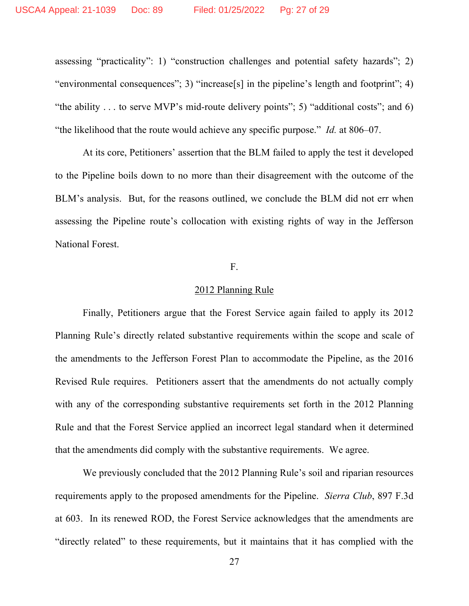assessing "practicality": 1) "construction challenges and potential safety hazards"; 2) "environmental consequences"; 3) "increase[s] in the pipeline's length and footprint"; 4) "the ability  $\dots$  to serve MVP's mid-route delivery points"; 5) "additional costs"; and 6) "the likelihood that the route would achieve any specific purpose." *Id.* at 806–07.

At its core, Petitioners' assertion that the BLM failed to apply the test it developed to the Pipeline boils down to no more than their disagreement with the outcome of the BLM's analysis. But, for the reasons outlined, we conclude the BLM did not err when assessing the Pipeline route's collocation with existing rights of way in the Jefferson National Forest.

# F.

## 2012 Planning Rule

Finally, Petitioners argue that the Forest Service again failed to apply its 2012 Planning Rule's directly related substantive requirements within the scope and scale of the amendments to the Jefferson Forest Plan to accommodate the Pipeline, as the 2016 Revised Rule requires. Petitioners assert that the amendments do not actually comply with any of the corresponding substantive requirements set forth in the 2012 Planning Rule and that the Forest Service applied an incorrect legal standard when it determined that the amendments did comply with the substantive requirements. We agree.

We previously concluded that the 2012 Planning Rule's soil and riparian resources requirements apply to the proposed amendments for the Pipeline. *Sierra Club*, 897 F.3d at 603. In its renewed ROD, the Forest Service acknowledges that the amendments are "directly related" to these requirements, but it maintains that it has complied with the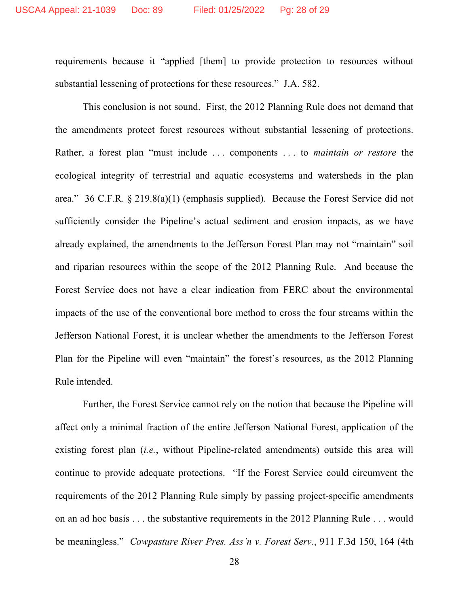requirements because it "applied [them] to provide protection to resources without substantial lessening of protections for these resources." J.A. 582.

This conclusion is not sound. First, the 2012 Planning Rule does not demand that the amendments protect forest resources without substantial lessening of protections. Rather, a forest plan "must include . . . components . . . to *maintain or restore* the ecological integrity of terrestrial and aquatic ecosystems and watersheds in the plan area." 36 C.F.R. § 219.8(a)(1) (emphasis supplied). Because the Forest Service did not sufficiently consider the Pipeline's actual sediment and erosion impacts, as we have already explained, the amendments to the Jefferson Forest Plan may not "maintain" soil and riparian resources within the scope of the 2012 Planning Rule. And because the Forest Service does not have a clear indication from FERC about the environmental impacts of the use of the conventional bore method to cross the four streams within the Jefferson National Forest, it is unclear whether the amendments to the Jefferson Forest Plan for the Pipeline will even "maintain" the forest's resources, as the 2012 Planning Rule intended.

Further, the Forest Service cannot rely on the notion that because the Pipeline will affect only a minimal fraction of the entire Jefferson National Forest, application of the existing forest plan (*i.e.*, without Pipeline-related amendments) outside this area will continue to provide adequate protections. "If the Forest Service could circumvent the requirements of the 2012 Planning Rule simply by passing project-specific amendments on an ad hoc basis . . . the substantive requirements in the 2012 Planning Rule . . . would be meaningless." *Cowpasture River Pres. Ass'n v. Forest Serv.*, 911 F.3d 150, 164 (4th